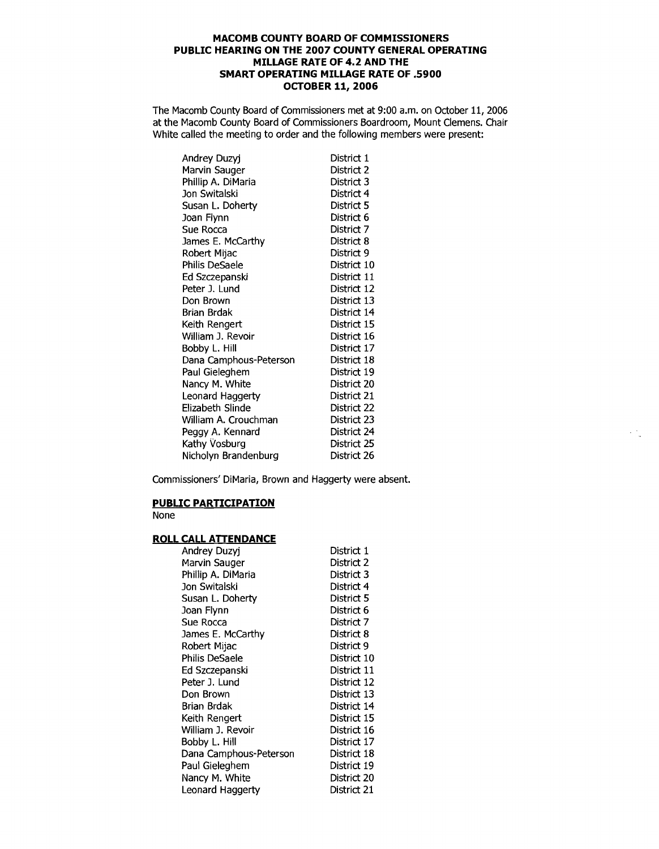## **MACOMB COUNTY BOARD OF COMMISSIONERS PUBLIC HEARING ON THE 2007 COUNTY GENERAL OPERATING MILLAGE RATE OF 4.2 AND THE SMART OPERATING MILLAGE RATE OF .5900 OCTOBER 11, 2006**

The Macomb County Board of Commissioners met at 9:00 a.m. on October 11, 2006 at the Macomb County Board of Commissioners Boardroom, Mount Clemens. Chair White called the meeting to order and the following members were present:

| Andrey Duzyj           | District 1  |
|------------------------|-------------|
| Marvin Sauger          | District 2  |
| Phillip A. DiMaria     | District 3  |
| Jon Switalski          | District 4  |
| Susan L. Doherty       | District 5  |
| Joan Flynn             | District 6  |
| Sue Rocca              | District 7  |
| James E. McCarthy      | District 8  |
| Robert Mijac           | District 9  |
| Philis DeSaele         | District 10 |
| Ed Szczepanski         | District 11 |
| Peter J. Lund          | District 12 |
| Don Brown              | District 13 |
| Brian Brdak            | District 14 |
| Keith Rengert          | District 15 |
| William J. Revoir      | District 16 |
| Bobby L. Hill          | District 17 |
| Dana Camphous-Peterson | District 18 |
| Paul Gieleghem         | District 19 |
| Nancy M. White         | District 20 |
| Leonard Haggerty       | District 21 |
| Elizabeth Slinde       | District 22 |
| William A. Crouchman   | District 23 |
| Peggy A. Kennard       | District 24 |
| Kathy Vosburg          | District 25 |
| Nicholyn Brandenburg   | District 26 |

Commissioners' DiMaria, Brown and Haggerty were absent.

## **PUBLIC PARTICIPATION**

None

## **ROLL CALL ATTENDANCE**

| Andrey Duzyj           | District 1  |
|------------------------|-------------|
| Marvin Sauger          | District 2  |
| Phillip A. DiMaria     | District 3  |
| Jon Switalski          | District 4  |
| Susan L. Doherty       | District 5  |
| Joan Flynn             | District 6  |
| Sue Rocca              | District 7  |
| James E. McCarthy      | District 8  |
| Robert Mijac           | District 9  |
| Philis DeSaele         | District 10 |
| Ed Szczepanski         | District 11 |
| Peter J. Lund          | District 12 |
| Don Brown              | District 13 |
| Brian Brdak            | District 14 |
| Keith Rengert          | District 15 |
| William J. Revoir      | District 16 |
| Bobby L. Hill          | District 17 |
| Dana Camphous-Peterson | District 18 |
| Paul Gieleghem         | District 19 |
| Nancy M. White         | District 20 |
| Leonard Haggerty       | District 21 |
|                        |             |